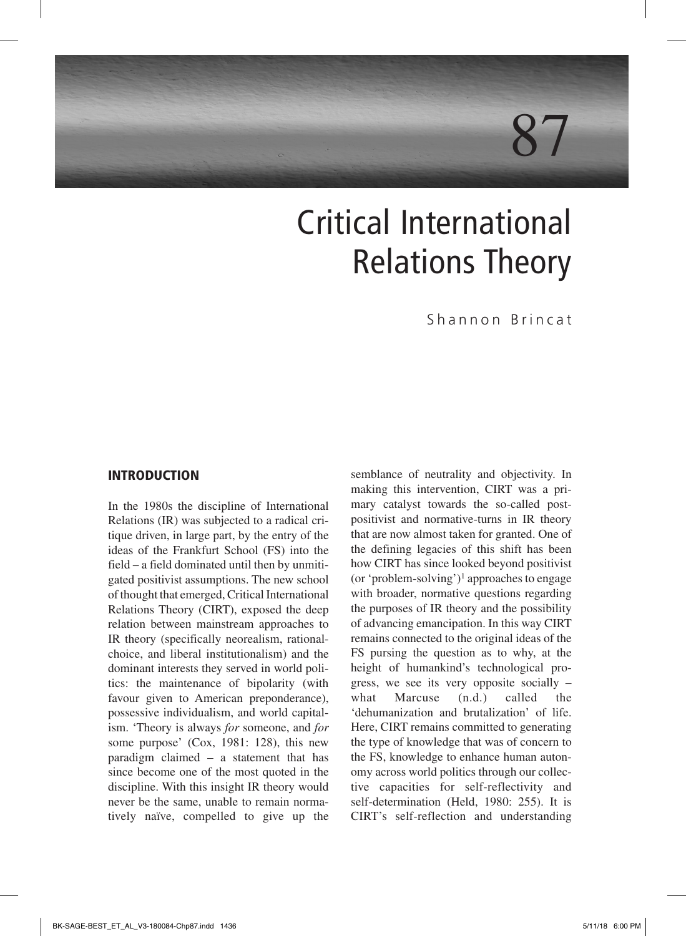# 87

# Critical International Relations Theory

Shannon Brincat

#### **INTRODUCTION**

In the 1980s the discipline of International Relations (IR) was subjected to a radical critique driven, in large part, by the entry of the ideas of the Frankfurt School (FS) into the field – a field dominated until then by unmitigated positivist assumptions. The new school of thought that emerged, Critical International Relations Theory (CIRT), exposed the deep relation between mainstream approaches to IR theory (specifically neorealism, rationalchoice, and liberal institutionalism) and the dominant interests they served in world politics: the maintenance of bipolarity (with favour given to American preponderance), possessive individualism, and world capitalism. 'Theory is always *for* someone, and *for* some purpose' (Cox, 1981: 128), this new paradigm claimed – a statement that has since become one of the most quoted in the discipline. With this insight IR theory would never be the same, unable to remain normatively naïve, compelled to give up the

semblance of neutrality and objectivity. In making this intervention, CIRT was a primary catalyst towards the so-called postpositivist and normative-turns in IR theory that are now almost taken for granted. One of the defining legacies of this shift has been how CIRT has since looked beyond positivist (or 'problem-solving')1 approaches to engage with broader, normative questions regarding the purposes of IR theory and the possibility of advancing emancipation. In this way CIRT remains connected to the original ideas of the FS pursing the question as to why, at the height of humankind's technological progress, we see its very opposite socially – what Marcuse (n.d.) called the 'dehumanization and brutalization' of life. Here, CIRT remains committed to generating the type of knowledge that was of concern to the FS, knowledge to enhance human autonomy across world politics through our collective capacities for self-reflectivity and self-determination (Held, 1980: 255). It is CIRT's self-reflection and understanding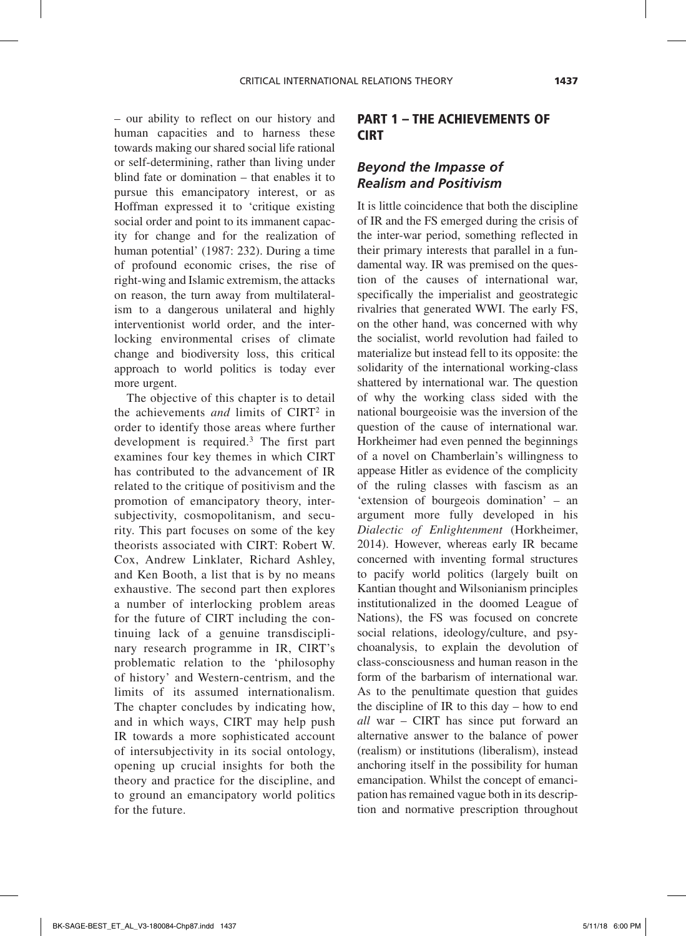– our ability to reflect on our history and human capacities and to harness these towards making our shared social life rational or self-determining, rather than living under blind fate or domination – that enables it to pursue this emancipatory interest, or as Hoffman expressed it to 'critique existing social order and point to its immanent capacity for change and for the realization of human potential' (1987: 232). During a time of profound economic crises, the rise of right-wing and Islamic extremism, the attacks on reason, the turn away from multilateralism to a dangerous unilateral and highly interventionist world order, and the interlocking environmental crises of climate change and biodiversity loss, this critical approach to world politics is today ever more urgent.

The objective of this chapter is to detail the achievements *and* limits of CIRT2 in order to identify those areas where further development is required.3 The first part examines four key themes in which CIRT has contributed to the advancement of IR related to the critique of positivism and the promotion of emancipatory theory, intersubjectivity, cosmopolitanism, and security. This part focuses on some of the key theorists associated with CIRT: Robert W. Cox, Andrew Linklater, Richard Ashley, and Ken Booth, a list that is by no means exhaustive. The second part then explores a number of interlocking problem areas for the future of CIRT including the continuing lack of a genuine transdisciplinary research programme in IR, CIRT's problematic relation to the 'philosophy of history' and Western-centrism, and the limits of its assumed internationalism. The chapter concludes by indicating how, and in which ways, CIRT may help push IR towards a more sophisticated account of intersubjectivity in its social ontology, opening up crucial insights for both the theory and practice for the discipline, and to ground an emancipatory world politics for the future.

### PART 1 – THE ACHIEVEMENTS OF **CIRT**

#### *Beyond the Impasse of Realism and Positivism*

It is little coincidence that both the discipline of IR and the FS emerged during the crisis of the inter-war period, something reflected in their primary interests that parallel in a fundamental way. IR was premised on the question of the causes of international war, specifically the imperialist and geostrategic rivalries that generated WWI. The early FS, on the other hand, was concerned with why the socialist, world revolution had failed to materialize but instead fell to its opposite: the solidarity of the international working-class shattered by international war. The question of why the working class sided with the national bourgeoisie was the inversion of the question of the cause of international war. Horkheimer had even penned the beginnings of a novel on Chamberlain's willingness to appease Hitler as evidence of the complicity of the ruling classes with fascism as an 'extension of bourgeois domination' – an argument more fully developed in his *Dialectic of Enlightenment* (Horkheimer, 2014). However, whereas early IR became concerned with inventing formal structures to pacify world politics (largely built on Kantian thought and Wilsonianism principles institutionalized in the doomed League of Nations), the FS was focused on concrete social relations, ideology/culture, and psychoanalysis, to explain the devolution of class-consciousness and human reason in the form of the barbarism of international war. As to the penultimate question that guides the discipline of IR to this day – how to end *all* war – CIRT has since put forward an alternative answer to the balance of power (realism) or institutions (liberalism), instead anchoring itself in the possibility for human emancipation. Whilst the concept of emancipation has remained vague both in its description and normative prescription throughout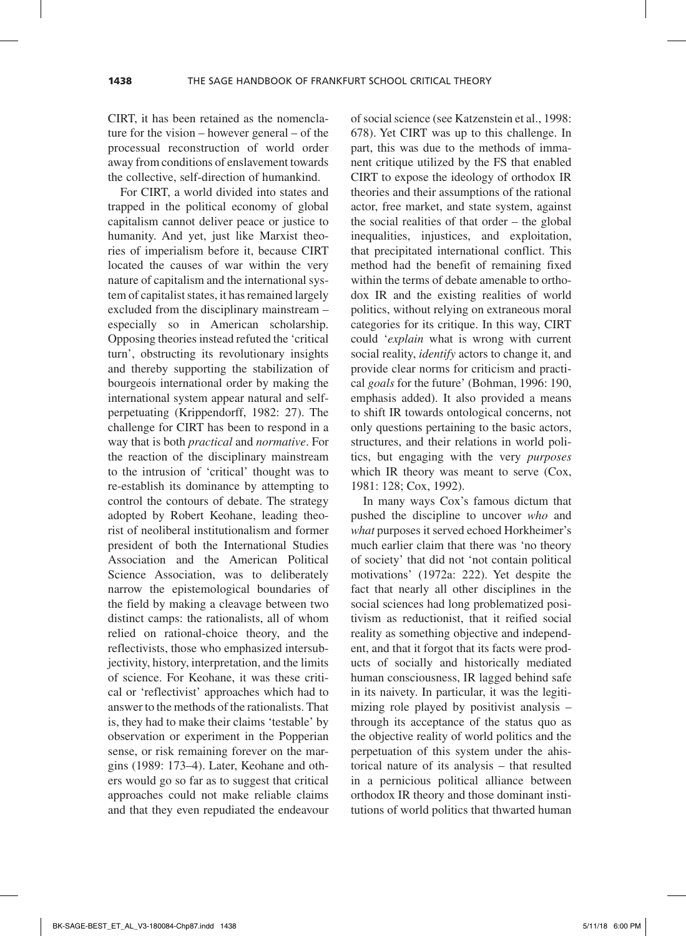CIRT, it has been retained as the nomenclature for the vision – however general – of the processual reconstruction of world order away from conditions of enslavement towards the collective, self-direction of humankind.

For CIRT, a world divided into states and trapped in the political economy of global capitalism cannot deliver peace or justice to humanity. And yet, just like Marxist theories of imperialism before it, because CIRT located the causes of war within the very nature of capitalism and the international system of capitalist states, it has remained largely excluded from the disciplinary mainstream – especially so in American scholarship. Opposing theories instead refuted the 'critical turn', obstructing its revolutionary insights and thereby supporting the stabilization of bourgeois international order by making the international system appear natural and selfperpetuating (Krippendorff, 1982: 27). The challenge for CIRT has been to respond in a way that is both *practical* and *normative*. For the reaction of the disciplinary mainstream to the intrusion of 'critical' thought was to re-establish its dominance by attempting to control the contours of debate. The strategy adopted by Robert Keohane, leading theorist of neoliberal institutionalism and former president of both the International Studies Association and the American Political Science Association, was to deliberately narrow the epistemological boundaries of the field by making a cleavage between two distinct camps: the rationalists, all of whom relied on rational-choice theory, and the reflectivists, those who emphasized intersubjectivity, history, interpretation, and the limits of science. For Keohane, it was these critical or 'reflectivist' approaches which had to answer to the methods of the rationalists. That is, they had to make their claims 'testable' by observation or experiment in the Popperian sense, or risk remaining forever on the margins (1989: 173–4). Later, Keohane and others would go so far as to suggest that critical approaches could not make reliable claims and that they even repudiated the endeavour

of social science (see Katzenstein et al., 1998: 678). Yet CIRT was up to this challenge. In part, this was due to the methods of immanent critique utilized by the FS that enabled CIRT to expose the ideology of orthodox IR theories and their assumptions of the rational actor, free market, and state system, against the social realities of that order – the global inequalities, injustices, and exploitation, that precipitated international conflict. This method had the benefit of remaining fixed within the terms of debate amenable to orthodox IR and the existing realities of world politics, without relying on extraneous moral categories for its critique. In this way, CIRT could '*explain* what is wrong with current social reality, *identify* actors to change it, and provide clear norms for criticism and practical *goals* for the future' (Bohman, 1996: 190, emphasis added). It also provided a means to shift IR towards ontological concerns, not only questions pertaining to the basic actors, structures, and their relations in world politics, but engaging with the very *purposes* which IR theory was meant to serve (Cox, 1981: 128; Cox, 1992).

In many ways Cox's famous dictum that pushed the discipline to uncover *who* and *what* purposes it served echoed Horkheimer's much earlier claim that there was 'no theory of society' that did not 'not contain political motivations' (1972a: 222). Yet despite the fact that nearly all other disciplines in the social sciences had long problematized positivism as reductionist, that it reified social reality as something objective and independent, and that it forgot that its facts were products of socially and historically mediated human consciousness, IR lagged behind safe in its naivety. In particular, it was the legitimizing role played by positivist analysis – through its acceptance of the status quo as the objective reality of world politics and the perpetuation of this system under the ahistorical nature of its analysis – that resulted in a pernicious political alliance between orthodox IR theory and those dominant institutions of world politics that thwarted human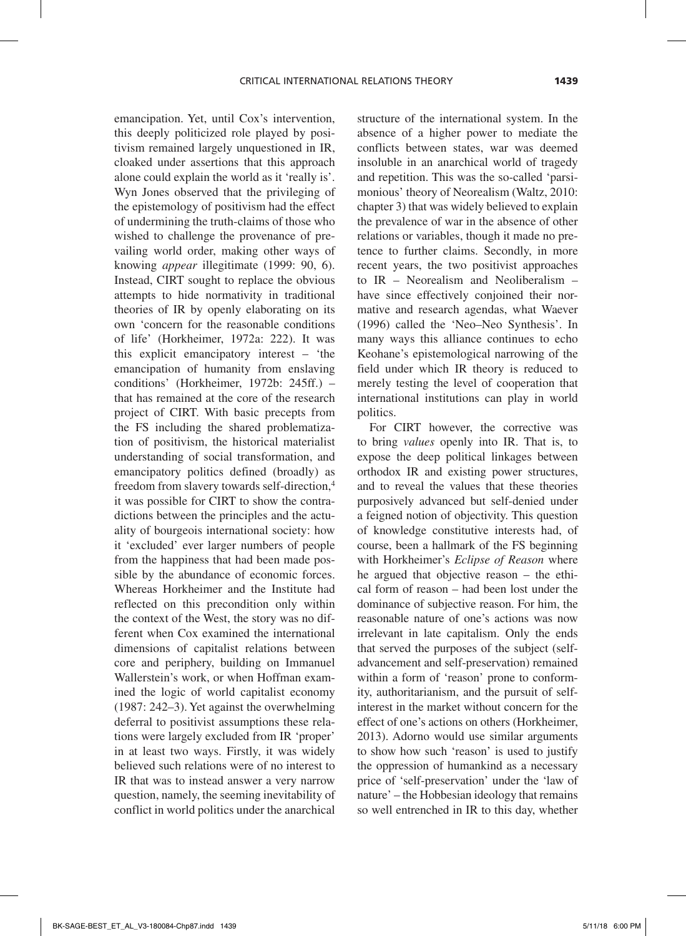emancipation. Yet, until Cox's intervention, this deeply politicized role played by positivism remained largely unquestioned in IR, cloaked under assertions that this approach alone could explain the world as it 'really is'. Wyn Jones observed that the privileging of the epistemology of positivism had the effect of undermining the truth-claims of those who wished to challenge the provenance of prevailing world order, making other ways of knowing *appear* illegitimate (1999: 90, 6). Instead, CIRT sought to replace the obvious attempts to hide normativity in traditional theories of IR by openly elaborating on its own 'concern for the reasonable conditions of life' (Horkheimer, 1972a: 222). It was this explicit emancipatory interest – 'the emancipation of humanity from enslaving conditions' (Horkheimer, 1972b: 245ff.) – that has remained at the core of the research project of CIRT. With basic precepts from the FS including the shared problematization of positivism, the historical materialist understanding of social transformation, and emancipatory politics defined (broadly) as freedom from slavery towards self-direction,4 it was possible for CIRT to show the contradictions between the principles and the actuality of bourgeois international society: how it 'excluded' ever larger numbers of people from the happiness that had been made possible by the abundance of economic forces. Whereas Horkheimer and the Institute had reflected on this precondition only within the context of the West, the story was no different when Cox examined the international dimensions of capitalist relations between core and periphery, building on Immanuel Wallerstein's work, or when Hoffman examined the logic of world capitalist economy (1987: 242–3). Yet against the overwhelming deferral to positivist assumptions these relations were largely excluded from IR 'proper' in at least two ways. Firstly, it was widely believed such relations were of no interest to IR that was to instead answer a very narrow question, namely, the seeming inevitability of conflict in world politics under the anarchical structure of the international system. In the absence of a higher power to mediate the conflicts between states, war was deemed insoluble in an anarchical world of tragedy and repetition. This was the so-called 'parsimonious' theory of Neorealism (Waltz, 2010: chapter 3) that was widely believed to explain the prevalence of war in the absence of other relations or variables, though it made no pretence to further claims. Secondly, in more recent years, the two positivist approaches to IR – Neorealism and Neoliberalism – have since effectively conjoined their normative and research agendas, what Waever (1996) called the 'Neo–Neo Synthesis'. In many ways this alliance continues to echo Keohane's epistemological narrowing of the field under which IR theory is reduced to merely testing the level of cooperation that international institutions can play in world politics.

For CIRT however, the corrective was to bring *values* openly into IR. That is, to expose the deep political linkages between orthodox IR and existing power structures, and to reveal the values that these theories purposively advanced but self-denied under a feigned notion of objectivity. This question of knowledge constitutive interests had, of course, been a hallmark of the FS beginning with Horkheimer's *Eclipse of Reason* where he argued that objective reason – the ethical form of reason – had been lost under the dominance of subjective reason. For him, the reasonable nature of one's actions was now irrelevant in late capitalism. Only the ends that served the purposes of the subject (selfadvancement and self-preservation) remained within a form of 'reason' prone to conformity, authoritarianism, and the pursuit of selfinterest in the market without concern for the effect of one's actions on others (Horkheimer, 2013). Adorno would use similar arguments to show how such 'reason' is used to justify the oppression of humankind as a necessary price of 'self-preservation' under the 'law of nature' – the Hobbesian ideology that remains so well entrenched in IR to this day, whether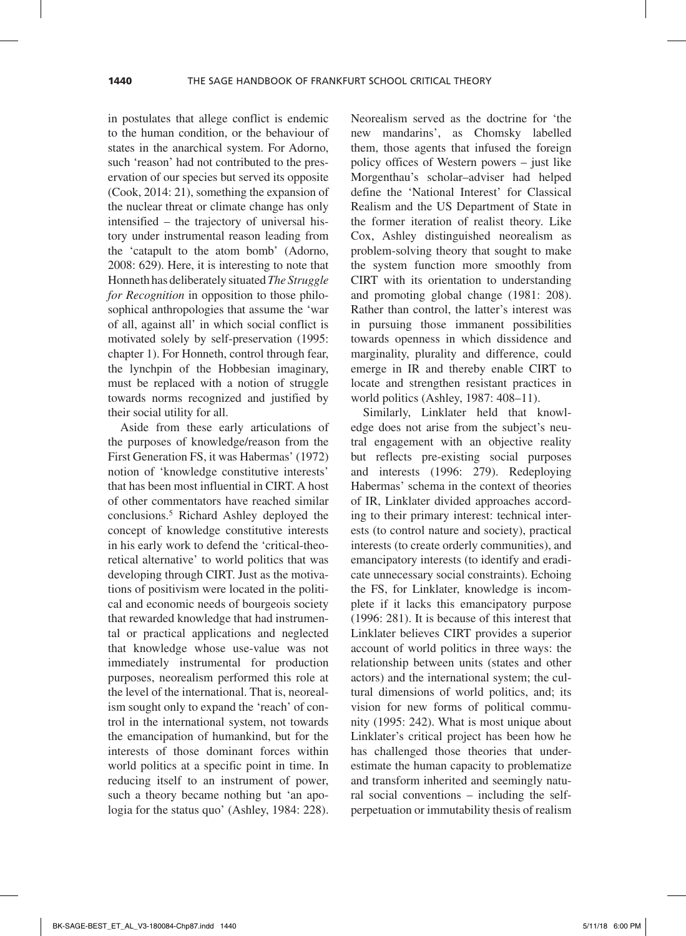in postulates that allege conflict is endemic to the human condition, or the behaviour of states in the anarchical system. For Adorno, such 'reason' had not contributed to the preservation of our species but served its opposite (Cook, 2014: 21), something the expansion of the nuclear threat or climate change has only intensified – the trajectory of universal history under instrumental reason leading from the 'catapult to the atom bomb' (Adorno, 2008: 629). Here, it is interesting to note that Honneth has deliberately situated *The Struggle for Recognition* in opposition to those philosophical anthropologies that assume the 'war of all, against all' in which social conflict is motivated solely by self-preservation (1995: chapter 1). For Honneth, control through fear, the lynchpin of the Hobbesian imaginary, must be replaced with a notion of struggle towards norms recognized and justified by their social utility for all.

Aside from these early articulations of the purposes of knowledge/reason from the First Generation FS, it was Habermas' (1972) notion of 'knowledge constitutive interests' that has been most influential in CIRT. A host of other commentators have reached similar conclusions.5 Richard Ashley deployed the concept of knowledge constitutive interests in his early work to defend the 'critical-theoretical alternative' to world politics that was developing through CIRT. Just as the motivations of positivism were located in the political and economic needs of bourgeois society that rewarded knowledge that had instrumental or practical applications and neglected that knowledge whose use-value was not immediately instrumental for production purposes, neorealism performed this role at the level of the international. That is, neorealism sought only to expand the 'reach' of control in the international system, not towards the emancipation of humankind, but for the interests of those dominant forces within world politics at a specific point in time. In reducing itself to an instrument of power, such a theory became nothing but 'an apologia for the status quo' (Ashley, 1984: 228).

Neorealism served as the doctrine for 'the new mandarins', as Chomsky labelled them, those agents that infused the foreign policy offices of Western powers – just like Morgenthau's scholar–adviser had helped define the 'National Interest' for Classical Realism and the US Department of State in the former iteration of realist theory. Like Cox, Ashley distinguished neorealism as problem-solving theory that sought to make the system function more smoothly from CIRT with its orientation to understanding and promoting global change (1981: 208). Rather than control, the latter's interest was in pursuing those immanent possibilities towards openness in which dissidence and marginality, plurality and difference, could emerge in IR and thereby enable CIRT to locate and strengthen resistant practices in world politics (Ashley, 1987: 408–11).

Similarly, Linklater held that knowledge does not arise from the subject's neutral engagement with an objective reality but reflects pre-existing social purposes and interests (1996: 279). Redeploying Habermas' schema in the context of theories of IR, Linklater divided approaches according to their primary interest: technical interests (to control nature and society), practical interests (to create orderly communities), and emancipatory interests (to identify and eradicate unnecessary social constraints). Echoing the FS, for Linklater, knowledge is incomplete if it lacks this emancipatory purpose (1996: 281). It is because of this interest that Linklater believes CIRT provides a superior account of world politics in three ways: the relationship between units (states and other actors) and the international system; the cultural dimensions of world politics, and; its vision for new forms of political community (1995: 242). What is most unique about Linklater's critical project has been how he has challenged those theories that underestimate the human capacity to problematize and transform inherited and seemingly natural social conventions – including the selfperpetuation or immutability thesis of realism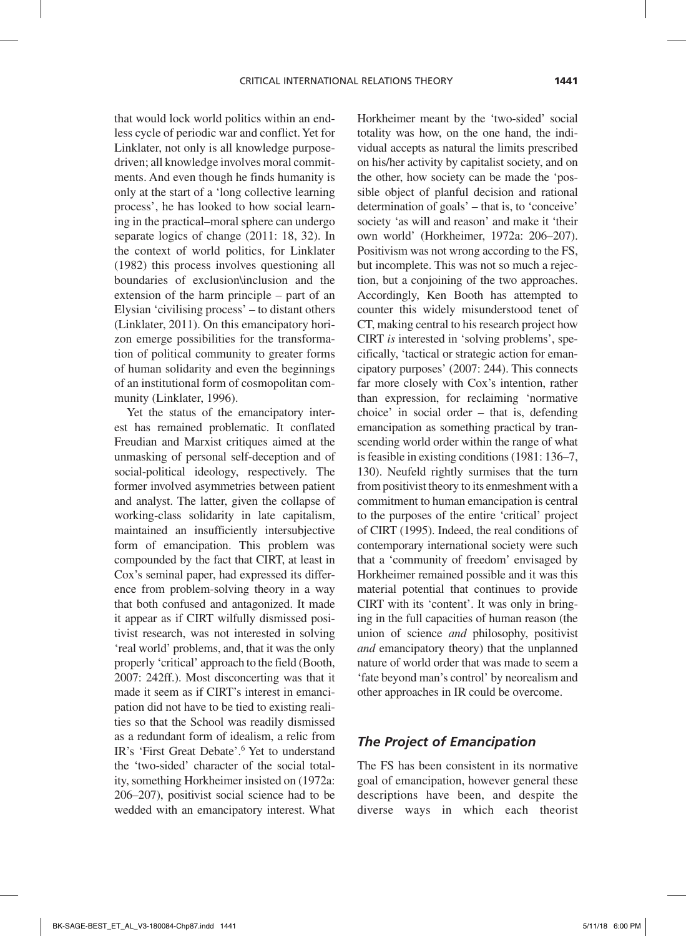that would lock world politics within an endless cycle of periodic war and conflict. Yet for Linklater, not only is all knowledge purposedriven; all knowledge involves moral commitments. And even though he finds humanity is only at the start of a 'long collective learning process', he has looked to how social learning in the practical–moral sphere can undergo separate logics of change (2011: 18, 32). In the context of world politics, for Linklater (1982) this process involves questioning all boundaries of exclusion\inclusion and the extension of the harm principle – part of an Elysian 'civilising process' – to distant others (Linklater, 2011). On this emancipatory horizon emerge possibilities for the transformation of political community to greater forms of human solidarity and even the beginnings of an institutional form of cosmopolitan community (Linklater, 1996).

Yet the status of the emancipatory interest has remained problematic. It conflated Freudian and Marxist critiques aimed at the unmasking of personal self-deception and of social-political ideology, respectively. The former involved asymmetries between patient and analyst. The latter, given the collapse of working-class solidarity in late capitalism, maintained an insufficiently intersubjective form of emancipation. This problem was compounded by the fact that CIRT, at least in Cox's seminal paper, had expressed its difference from problem-solving theory in a way that both confused and antagonized. It made it appear as if CIRT wilfully dismissed positivist research, was not interested in solving 'real world' problems, and, that it was the only properly 'critical' approach to the field (Booth, 2007: 242ff.). Most disconcerting was that it made it seem as if CIRT's interest in emancipation did not have to be tied to existing realities so that the School was readily dismissed as a redundant form of idealism, a relic from IR's 'First Great Debate'.<sup>6</sup> Yet to understand the 'two-sided' character of the social totality, something Horkheimer insisted on (1972a: 206–207), positivist social science had to be wedded with an emancipatory interest. What

Horkheimer meant by the 'two-sided' social totality was how, on the one hand, the individual accepts as natural the limits prescribed on his/her activity by capitalist society, and on the other, how society can be made the 'possible object of planful decision and rational determination of goals' – that is, to 'conceive' society 'as will and reason' and make it 'their own world' (Horkheimer, 1972a: 206–207). Positivism was not wrong according to the FS, but incomplete. This was not so much a rejection, but a conjoining of the two approaches. Accordingly, Ken Booth has attempted to counter this widely misunderstood tenet of CT, making central to his research project how CIRT *is* interested in 'solving problems', specifically, 'tactical or strategic action for emancipatory purposes' (2007: 244). This connects far more closely with Cox's intention, rather than expression, for reclaiming 'normative choice' in social order – that is, defending emancipation as something practical by transcending world order within the range of what is feasible in existing conditions (1981: 136–7, 130). Neufeld rightly surmises that the turn from positivist theory to its enmeshment with a commitment to human emancipation is central to the purposes of the entire 'critical' project of CIRT (1995). Indeed, the real conditions of contemporary international society were such that a 'community of freedom' envisaged by Horkheimer remained possible and it was this material potential that continues to provide CIRT with its 'content'. It was only in bringing in the full capacities of human reason (the union of science *and* philosophy, positivist *and* emancipatory theory) that the unplanned nature of world order that was made to seem a 'fate beyond man's control' by neorealism and other approaches in IR could be overcome.

#### *The Project of Emancipation*

The FS has been consistent in its normative goal of emancipation, however general these descriptions have been, and despite the diverse ways in which each theorist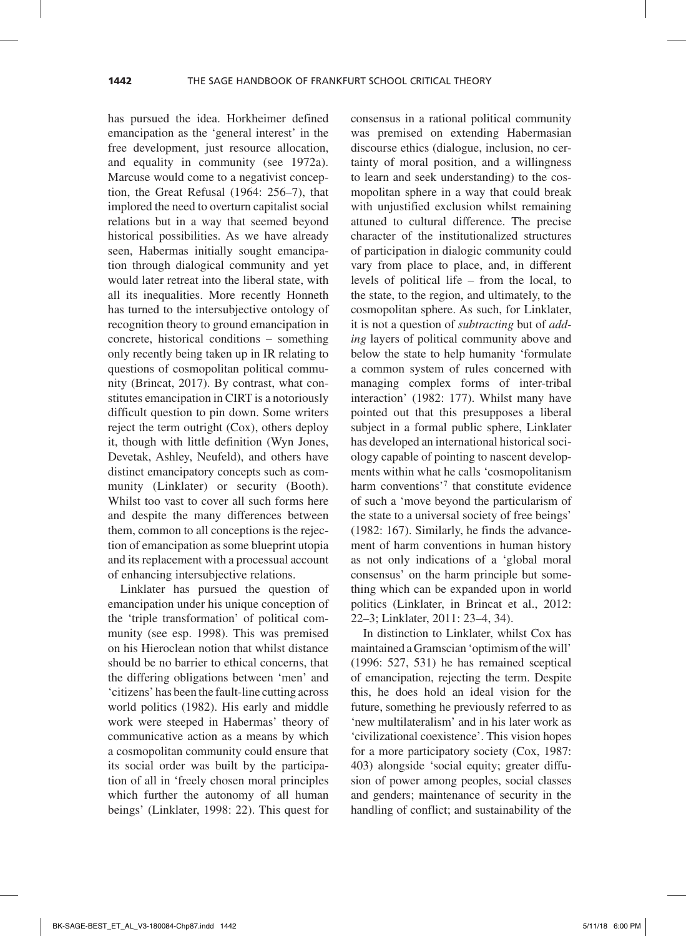has pursued the idea. Horkheimer defined emancipation as the 'general interest' in the free development, just resource allocation, and equality in community (see 1972a). Marcuse would come to a negativist conception, the Great Refusal (1964: 256–7), that implored the need to overturn capitalist social relations but in a way that seemed beyond historical possibilities. As we have already seen, Habermas initially sought emancipation through dialogical community and yet would later retreat into the liberal state, with all its inequalities. More recently Honneth has turned to the intersubjective ontology of recognition theory to ground emancipation in concrete, historical conditions – something only recently being taken up in IR relating to questions of cosmopolitan political community (Brincat, 2017). By contrast, what constitutes emancipation in CIRT is a notoriously difficult question to pin down. Some writers reject the term outright (Cox), others deploy it, though with little definition (Wyn Jones, Devetak, Ashley, Neufeld), and others have distinct emancipatory concepts such as community (Linklater) or security (Booth). Whilst too vast to cover all such forms here and despite the many differences between them, common to all conceptions is the rejection of emancipation as some blueprint utopia and its replacement with a processual account of enhancing intersubjective relations.

Linklater has pursued the question of emancipation under his unique conception of the 'triple transformation' of political community (see esp. 1998). This was premised on his Hieroclean notion that whilst distance should be no barrier to ethical concerns, that the differing obligations between 'men' and 'citizens' has been the fault-line cutting across world politics (1982). His early and middle work were steeped in Habermas' theory of communicative action as a means by which a cosmopolitan community could ensure that its social order was built by the participation of all in 'freely chosen moral principles which further the autonomy of all human beings' (Linklater, 1998: 22). This quest for consensus in a rational political community was premised on extending Habermasian discourse ethics (dialogue, inclusion, no certainty of moral position, and a willingness to learn and seek understanding) to the cosmopolitan sphere in a way that could break with unjustified exclusion whilst remaining attuned to cultural difference. The precise character of the institutionalized structures of participation in dialogic community could vary from place to place, and, in different levels of political life – from the local, to the state, to the region, and ultimately, to the cosmopolitan sphere. As such, for Linklater, it is not a question of *subtracting* but of *adding* layers of political community above and below the state to help humanity 'formulate a common system of rules concerned with managing complex forms of inter-tribal interaction' (1982: 177). Whilst many have pointed out that this presupposes a liberal subject in a formal public sphere, Linklater has developed an international historical sociology capable of pointing to nascent developments within what he calls 'cosmopolitanism harm conventions'<sup>7</sup> that constitute evidence of such a 'move beyond the particularism of the state to a universal society of free beings' (1982: 167). Similarly, he finds the advancement of harm conventions in human history as not only indications of a 'global moral consensus' on the harm principle but something which can be expanded upon in world politics (Linklater, in Brincat et al., 2012: 22–3; Linklater, 2011: 23–4, 34).

In distinction to Linklater, whilst Cox has maintained a Gramscian 'optimism of the will' (1996: 527, 531) he has remained sceptical of emancipation, rejecting the term. Despite this, he does hold an ideal vision for the future, something he previously referred to as 'new multilateralism' and in his later work as 'civilizational coexistence'. This vision hopes for a more participatory society (Cox, 1987: 403) alongside 'social equity; greater diffusion of power among peoples, social classes and genders; maintenance of security in the handling of conflict; and sustainability of the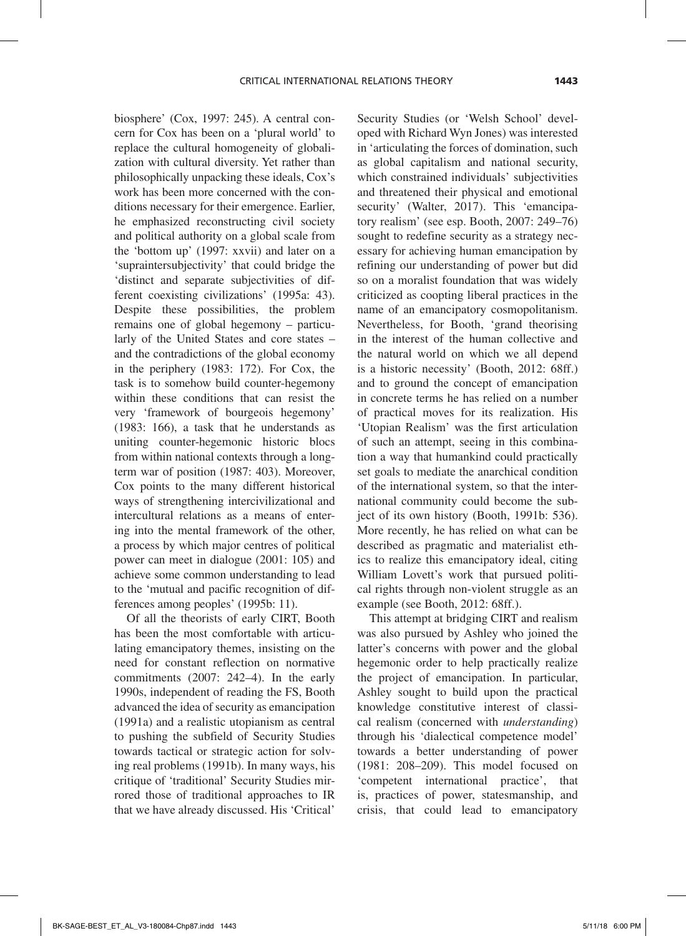biosphere' (Cox, 1997: 245). A central concern for Cox has been on a 'plural world' to replace the cultural homogeneity of globalization with cultural diversity. Yet rather than philosophically unpacking these ideals, Cox's work has been more concerned with the conditions necessary for their emergence. Earlier, he emphasized reconstructing civil society and political authority on a global scale from the 'bottom up' (1997: xxvii) and later on a 'supraintersubjectivity' that could bridge the 'distinct and separate subjectivities of different coexisting civilizations' (1995a: 43). Despite these possibilities, the problem remains one of global hegemony – particularly of the United States and core states – and the contradictions of the global economy in the periphery (1983: 172). For Cox, the task is to somehow build counter-hegemony within these conditions that can resist the very 'framework of bourgeois hegemony' (1983: 166), a task that he understands as uniting counter-hegemonic historic blocs from within national contexts through a longterm war of position (1987: 403). Moreover, Cox points to the many different historical ways of strengthening intercivilizational and intercultural relations as a means of entering into the mental framework of the other, a process by which major centres of political power can meet in dialogue (2001: 105) and achieve some common understanding to lead to the 'mutual and pacific recognition of differences among peoples' (1995b: 11).

Of all the theorists of early CIRT, Booth has been the most comfortable with articulating emancipatory themes, insisting on the need for constant reflection on normative commitments (2007: 242–4). In the early 1990s, independent of reading the FS, Booth advanced the idea of security as emancipation (1991a) and a realistic utopianism as central to pushing the subfield of Security Studies towards tactical or strategic action for solving real problems (1991b). In many ways, his critique of 'traditional' Security Studies mirrored those of traditional approaches to IR that we have already discussed. His 'Critical'

Security Studies (or 'Welsh School' developed with Richard Wyn Jones) was interested in 'articulating the forces of domination, such as global capitalism and national security, which constrained individuals' subjectivities and threatened their physical and emotional security' (Walter, 2017). This 'emancipatory realism' (see esp. Booth, 2007: 249–76) sought to redefine security as a strategy necessary for achieving human emancipation by refining our understanding of power but did so on a moralist foundation that was widely criticized as coopting liberal practices in the name of an emancipatory cosmopolitanism. Nevertheless, for Booth, 'grand theorising in the interest of the human collective and the natural world on which we all depend is a historic necessity' (Booth, 2012: 68ff.) and to ground the concept of emancipation in concrete terms he has relied on a number of practical moves for its realization. His 'Utopian Realism' was the first articulation of such an attempt, seeing in this combination a way that humankind could practically set goals to mediate the anarchical condition of the international system, so that the international community could become the subject of its own history (Booth, 1991b: 536). More recently, he has relied on what can be described as pragmatic and materialist ethics to realize this emancipatory ideal, citing William Lovett's work that pursued political rights through non-violent struggle as an example (see Booth, 2012: 68ff.).

This attempt at bridging CIRT and realism was also pursued by Ashley who joined the latter's concerns with power and the global hegemonic order to help practically realize the project of emancipation. In particular, Ashley sought to build upon the practical knowledge constitutive interest of classical realism (concerned with *understanding*) through his 'dialectical competence model' towards a better understanding of power (1981: 208–209). This model focused on 'competent international practice', that is, practices of power, statesmanship, and crisis, that could lead to emancipatory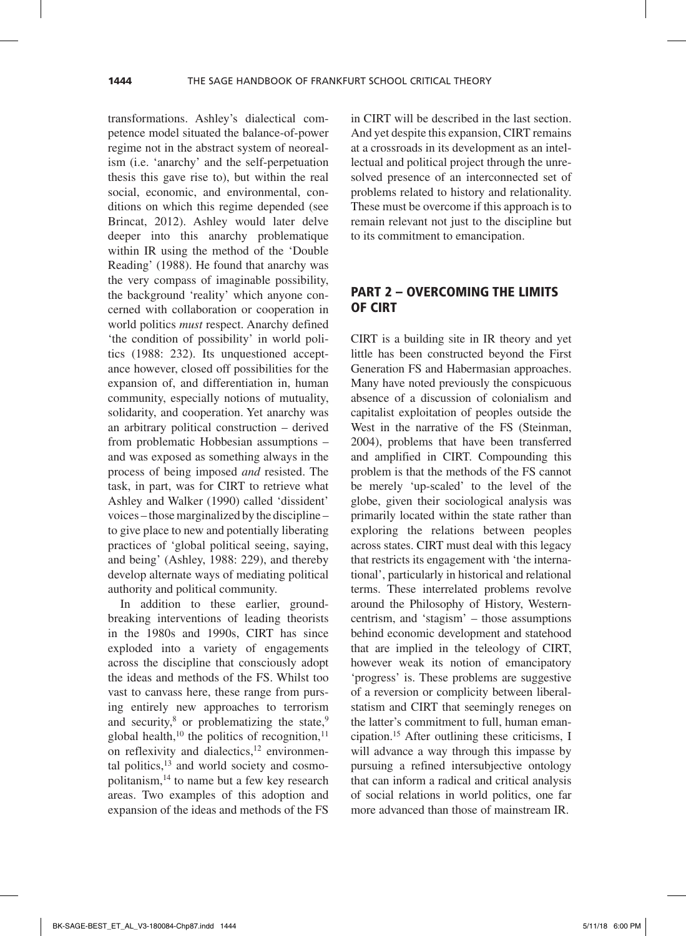transformations. Ashley's dialectical competence model situated the balance-of-power regime not in the abstract system of neorealism (i.e. 'anarchy' and the self-perpetuation thesis this gave rise to), but within the real social, economic, and environmental, conditions on which this regime depended (see Brincat, 2012). Ashley would later delve deeper into this anarchy problematique within IR using the method of the 'Double Reading' (1988). He found that anarchy was the very compass of imaginable possibility, the background 'reality' which anyone concerned with collaboration or cooperation in world politics *must* respect. Anarchy defined 'the condition of possibility' in world politics (1988: 232). Its unquestioned acceptance however, closed off possibilities for the expansion of, and differentiation in, human community, especially notions of mutuality, solidarity, and cooperation. Yet anarchy was an arbitrary political construction – derived from problematic Hobbesian assumptions – and was exposed as something always in the process of being imposed *and* resisted. The task, in part, was for CIRT to retrieve what Ashley and Walker (1990) called 'dissident' voices – those marginalized by the discipline – to give place to new and potentially liberating practices of 'global political seeing, saying, and being' (Ashley, 1988: 229), and thereby develop alternate ways of mediating political authority and political community.

In addition to these earlier, groundbreaking interventions of leading theorists in the 1980s and 1990s, CIRT has since exploded into a variety of engagements across the discipline that consciously adopt the ideas and methods of the FS. Whilst too vast to canvass here, these range from pursing entirely new approaches to terrorism and security, $8$  or problematizing the state, $9$ global health, $^{10}$  the politics of recognition, $^{11}$ on reflexivity and dialectics, $12$  environmental politics, $13$  and world society and cosmopolitanism,14 to name but a few key research areas. Two examples of this adoption and expansion of the ideas and methods of the FS

in CIRT will be described in the last section. And yet despite this expansion, CIRT remains at a crossroads in its development as an intellectual and political project through the unresolved presence of an interconnected set of problems related to history and relationality. These must be overcome if this approach is to remain relevant not just to the discipline but to its commitment to emancipation.

#### PART 2 – OVERCOMING THE LIMITS OF CIRT

CIRT is a building site in IR theory and yet little has been constructed beyond the First Generation FS and Habermasian approaches. Many have noted previously the conspicuous absence of a discussion of colonialism and capitalist exploitation of peoples outside the West in the narrative of the FS (Steinman, 2004), problems that have been transferred and amplified in CIRT. Compounding this problem is that the methods of the FS cannot be merely 'up-scaled' to the level of the globe, given their sociological analysis was primarily located within the state rather than exploring the relations between peoples across states. CIRT must deal with this legacy that restricts its engagement with 'the international', particularly in historical and relational terms. These interrelated problems revolve around the Philosophy of History, Westerncentrism, and 'stagism' – those assumptions behind economic development and statehood that are implied in the teleology of CIRT, however weak its notion of emancipatory 'progress' is. These problems are suggestive of a reversion or complicity between liberalstatism and CIRT that seemingly reneges on the latter's commitment to full, human emancipation.15 After outlining these criticisms, I will advance a way through this impasse by pursuing a refined intersubjective ontology that can inform a radical and critical analysis of social relations in world politics, one far more advanced than those of mainstream IR.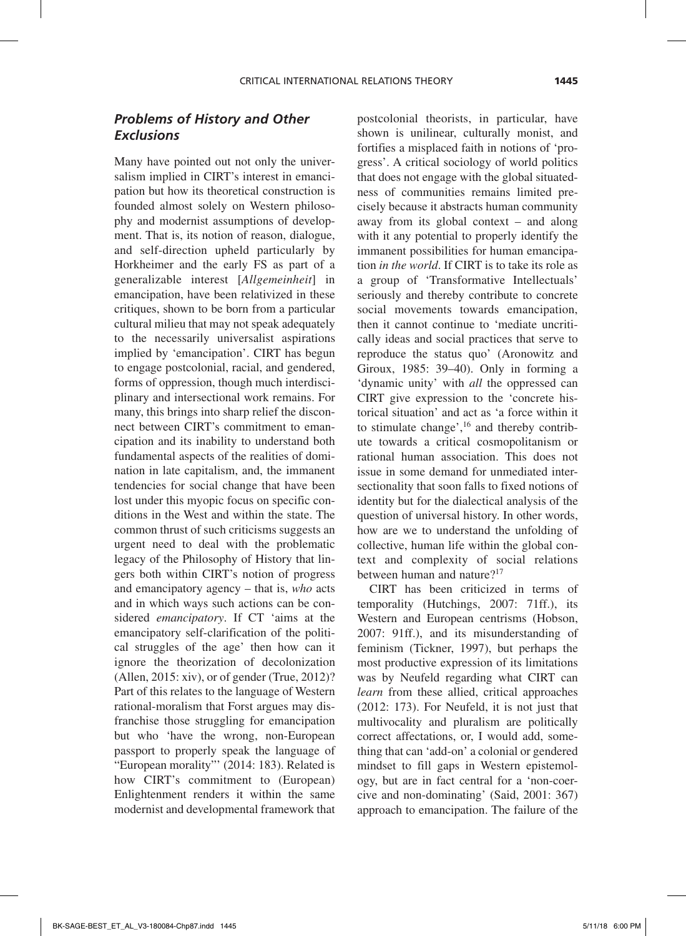## *Problems of History and Other Exclusions*

Many have pointed out not only the universalism implied in CIRT's interest in emancipation but how its theoretical construction is founded almost solely on Western philosophy and modernist assumptions of development. That is, its notion of reason, dialogue, and self-direction upheld particularly by Horkheimer and the early FS as part of a generalizable interest [*Allgemeinheit*] in emancipation, have been relativized in these critiques, shown to be born from a particular cultural milieu that may not speak adequately to the necessarily universalist aspirations implied by 'emancipation'. CIRT has begun to engage postcolonial, racial, and gendered, forms of oppression, though much interdisciplinary and intersectional work remains. For many, this brings into sharp relief the disconnect between CIRT's commitment to emancipation and its inability to understand both fundamental aspects of the realities of domination in late capitalism, and, the immanent tendencies for social change that have been lost under this myopic focus on specific conditions in the West and within the state. The common thrust of such criticisms suggests an urgent need to deal with the problematic legacy of the Philosophy of History that lingers both within CIRT's notion of progress and emancipatory agency – that is, *who* acts and in which ways such actions can be considered *emancipatory*. If CT 'aims at the emancipatory self-clarification of the political struggles of the age' then how can it ignore the theorization of decolonization (Allen, 2015: xiv), or of gender (True, 2012)? Part of this relates to the language of Western rational-moralism that Forst argues may disfranchise those struggling for emancipation but who 'have the wrong, non-European passport to properly speak the language of "European morality"' (2014: 183). Related is how CIRT's commitment to (European) Enlightenment renders it within the same modernist and developmental framework that postcolonial theorists, in particular, have shown is unilinear, culturally monist, and fortifies a misplaced faith in notions of 'progress'. A critical sociology of world politics that does not engage with the global situatedness of communities remains limited precisely because it abstracts human community away from its global context – and along with it any potential to properly identify the immanent possibilities for human emancipation *in the world*. If CIRT is to take its role as a group of 'Transformative Intellectuals' seriously and thereby contribute to concrete social movements towards emancipation, then it cannot continue to 'mediate uncritically ideas and social practices that serve to reproduce the status quo' (Aronowitz and Giroux, 1985: 39–40). Only in forming a 'dynamic unity' with *all* the oppressed can CIRT give expression to the 'concrete historical situation' and act as 'a force within it to stimulate change',16 and thereby contribute towards a critical cosmopolitanism or rational human association. This does not issue in some demand for unmediated intersectionality that soon falls to fixed notions of identity but for the dialectical analysis of the question of universal history. In other words, how are we to understand the unfolding of collective, human life within the global context and complexity of social relations between human and nature?17

CIRT has been criticized in terms of temporality (Hutchings, 2007: 71ff.), its Western and European centrisms (Hobson, 2007: 91ff.), and its misunderstanding of feminism (Tickner, 1997), but perhaps the most productive expression of its limitations was by Neufeld regarding what CIRT can *learn* from these allied, critical approaches (2012: 173). For Neufeld, it is not just that multivocality and pluralism are politically correct affectations, or, I would add, something that can 'add-on' a colonial or gendered mindset to fill gaps in Western epistemology, but are in fact central for a 'non-coercive and non-dominating' (Said, 2001: 367) approach to emancipation. The failure of the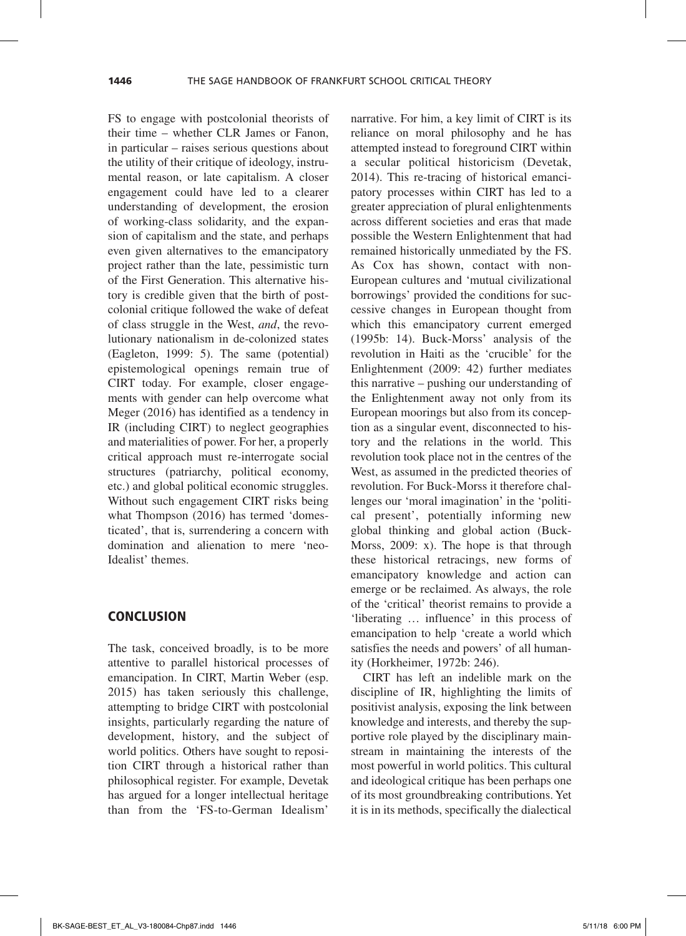FS to engage with postcolonial theorists of their time – whether CLR James or Fanon, in particular – raises serious questions about the utility of their critique of ideology, instrumental reason, or late capitalism. A closer engagement could have led to a clearer understanding of development, the erosion of working-class solidarity, and the expansion of capitalism and the state, and perhaps even given alternatives to the emancipatory project rather than the late, pessimistic turn of the First Generation. This alternative history is credible given that the birth of postcolonial critique followed the wake of defeat of class struggle in the West, *and*, the revolutionary nationalism in de-colonized states (Eagleton, 1999: 5). The same (potential) epistemological openings remain true of CIRT today. For example, closer engagements with gender can help overcome what Meger (2016) has identified as a tendency in IR (including CIRT) to neglect geographies and materialities of power. For her, a properly critical approach must re-interrogate social structures (patriarchy, political economy, etc.) and global political economic struggles. Without such engagement CIRT risks being what Thompson (2016) has termed 'domesticated', that is, surrendering a concern with domination and alienation to mere 'neo-Idealist' themes.

#### **CONCLUSION**

The task, conceived broadly, is to be more attentive to parallel historical processes of emancipation. In CIRT, Martin Weber (esp. 2015) has taken seriously this challenge, attempting to bridge CIRT with postcolonial insights, particularly regarding the nature of development, history, and the subject of world politics. Others have sought to reposition CIRT through a historical rather than philosophical register. For example, Devetak has argued for a longer intellectual heritage than from the 'FS-to-German Idealism'

narrative. For him, a key limit of CIRT is its reliance on moral philosophy and he has attempted instead to foreground CIRT within a secular political historicism (Devetak, 2014). This re-tracing of historical emancipatory processes within CIRT has led to a greater appreciation of plural enlightenments across different societies and eras that made possible the Western Enlightenment that had remained historically unmediated by the FS. As Cox has shown, contact with non-European cultures and 'mutual civilizational borrowings' provided the conditions for successive changes in European thought from which this emancipatory current emerged (1995b: 14). Buck-Morss' analysis of the revolution in Haiti as the 'crucible' for the Enlightenment (2009: 42) further mediates this narrative – pushing our understanding of the Enlightenment away not only from its European moorings but also from its conception as a singular event, disconnected to history and the relations in the world. This revolution took place not in the centres of the West, as assumed in the predicted theories of revolution. For Buck-Morss it therefore challenges our 'moral imagination' in the 'political present', potentially informing new global thinking and global action (Buck-Morss, 2009: x). The hope is that through these historical retracings, new forms of emancipatory knowledge and action can emerge or be reclaimed. As always, the role of the 'critical' theorist remains to provide a 'liberating … influence' in this process of emancipation to help 'create a world which satisfies the needs and powers' of all humanity (Horkheimer, 1972b: 246).

CIRT has left an indelible mark on the discipline of IR, highlighting the limits of positivist analysis, exposing the link between knowledge and interests, and thereby the supportive role played by the disciplinary mainstream in maintaining the interests of the most powerful in world politics. This cultural and ideological critique has been perhaps one of its most groundbreaking contributions. Yet it is in its methods, specifically the dialectical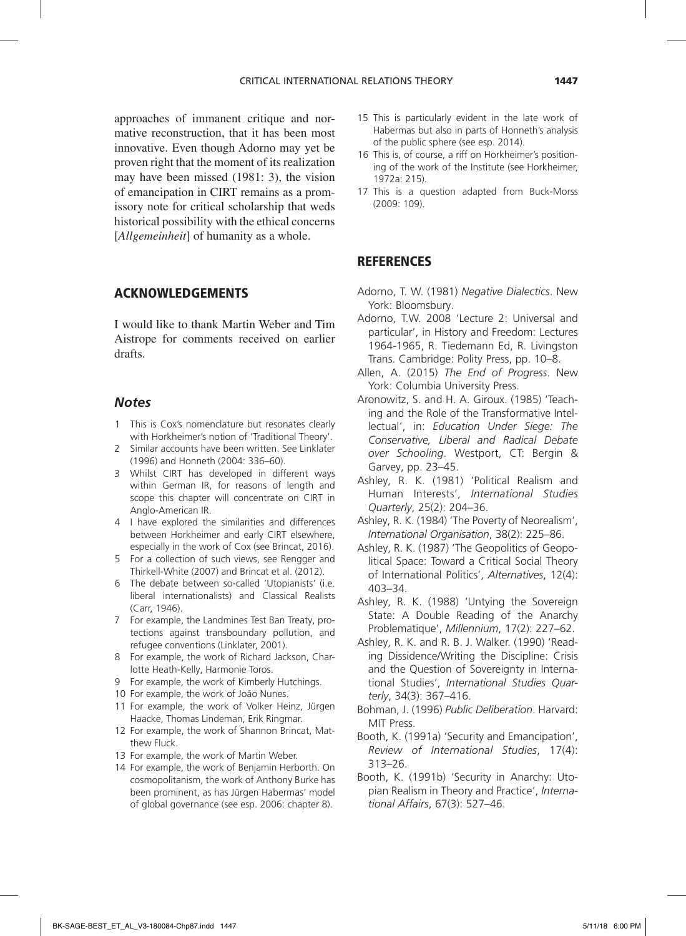approaches of immanent critique and normative reconstruction, that it has been most innovative. Even though Adorno may yet be proven right that the moment of its realization may have been missed (1981: 3), the vision of emancipation in CIRT remains as a promissory note for critical scholarship that weds historical possibility with the ethical concerns [*Allgemeinheit*] of humanity as a whole.

#### ACKNOWLEDGEMENTS

I would like to thank Martin Weber and Tim Aistrope for comments received on earlier drafts.

#### *Notes*

- 1 This is Cox's nomenclature but resonates clearly with Horkheimer's notion of 'Traditional Theory'.
- Similar accounts have been written. See Linklater (1996) and Honneth (2004: 336–60).
- 3 Whilst CIRT has developed in different ways within German IR, for reasons of length and scope this chapter will concentrate on CIRT in Anglo-American IR.
- 4 I have explored the similarities and differences between Horkheimer and early CIRT elsewhere, especially in the work of Cox (see Brincat, 2016).
- 5 For a collection of such views, see Rengger and Thirkell-White (2007) and Brincat et al. (2012).
- 6 The debate between so-called 'Utopianists' (i.e. liberal internationalists) and Classical Realists (Carr, 1946).
- 7 For example, the Landmines Test Ban Treaty, protections against transboundary pollution, and refugee conventions (Linklater, 2001).
- 8 For example, the work of Richard Jackson, Charlotte Heath-Kelly, Harmonie Toros.
- 9 For example, the work of Kimberly Hutchings.
- 10 For example, the work of João Nunes.
- 11 For example, the work of Volker Heinz, Jürgen Haacke, Thomas Lindeman, Erik Ringmar.
- 12 For example, the work of Shannon Brincat, Matthew Fluck.
- 13 For example, the work of Martin Weber.
- 14 For example, the work of Benjamin Herborth. On cosmopolitanism, the work of Anthony Burke has been prominent, as has Jürgen Habermas' model of global governance (see esp. 2006: chapter 8).
- 15 This is particularly evident in the late work of Habermas but also in parts of Honneth's analysis of the public sphere (see esp. 2014).
- 16 This is, of course, a riff on Horkheimer's positioning of the work of the Institute (see Horkheimer, 1972a: 215).
- 17 This is a question adapted from Buck-Morss (2009: 109).

#### **REFERENCES**

- Adorno, T. W. (1981) *Negative Dialectics*. New York: Bloomsbury.
- Adorno, T.W. 2008 'Lecture 2: Universal and particular', in History and Freedom: Lectures 1964-1965, R. Tiedemann Ed, R. Livingston Trans. Cambridge: Polity Press, pp. 10–8.
- Allen, A. (2015) *The End of Progress*. New York: Columbia University Press.
- Aronowitz, S. and H. A. Giroux. (1985) 'Teaching and the Role of the Transformative Intellectual', in: *Education Under Siege: The Conservative, Liberal and Radical Debate over Schooling*. Westport, CT: Bergin & Garvey, pp. 23–45.
- Ashley, R. K. (1981) 'Political Realism and Human Interests', *International Studies Quarterly*, 25(2): 204–36.
- Ashley, R. K. (1984) 'The Poverty of Neorealism', *International Organisation*, 38(2): 225–86.
- Ashley, R. K. (1987) 'The Geopolitics of Geopolitical Space: Toward a Critical Social Theory of International Politics', *Alternatives*, 12(4): 403–34.
- Ashley, R. K. (1988) 'Untying the Sovereign State: A Double Reading of the Anarchy Problematique', *Millennium*, 17(2): 227–62.
- Ashley, R. K. and R. B. J. Walker. (1990) 'Reading Dissidence/Writing the Discipline: Crisis and the Question of Sovereignty in International Studies', *International Studies Quarterly*, 34(3): 367–416.
- Bohman, J. (1996) *Public Deliberation*. Harvard: MIT Press.
- Booth, K. (1991a) 'Security and Emancipation', *Review of International Studies*, 17(4): 313–26.
- Booth, K. (1991b) 'Security in Anarchy: Utopian Realism in Theory and Practice', *International Affairs*, 67(3): 527–46.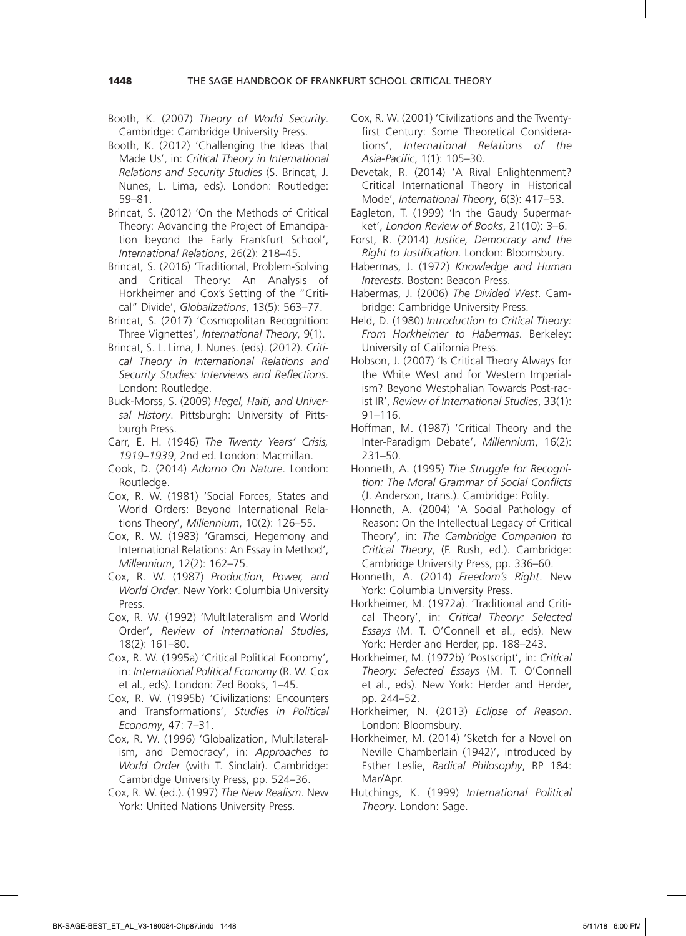1448 THE SAGE HANDBOOK OF FRANKFURT SCHOOL CRITICAL THEORY

Booth, K. (2007) *Theory of World Security*. Cambridge: Cambridge University Press.

- Booth, K. (2012) 'Challenging the Ideas that Made Us', in: *Critical Theory in International Relations and Security Studies* (S. Brincat, J. Nunes, L. Lima, eds). London: Routledge: 59–81.
- Brincat, S. (2012) 'On the Methods of Critical Theory: Advancing the Project of Emancipation beyond the Early Frankfurt School', *International Relations*, 26(2): 218–45.
- Brincat, S. (2016) 'Traditional, Problem-Solving and Critical Theory: An Analysis of Horkheimer and Cox's Setting of the "Critical" Divide', *Globalizations*, 13(5): 563–77.
- Brincat, S. (2017) 'Cosmopolitan Recognition: Three Vignettes', *International Theory*, 9(1).
- Brincat, S. L. Lima, J. Nunes. (eds). (2012). *Critical Theory in International Relations and Security Studies: Interviews and Reflections*. London: Routledge.
- Buck-Morss, S. (2009) *Hegel, Haiti, and Universal History*. Pittsburgh: University of Pittsburgh Press.
- Carr, E. H. (1946) *The Twenty Years' Crisis, 1919–1939*, 2nd ed. London: Macmillan.
- Cook, D. (2014) *Adorno On Nature*. London: Routledge.
- Cox, R. W. (1981) 'Social Forces, States and World Orders: Beyond International Relations Theory', *Millennium*, 10(2): 126–55.
- Cox, R. W. (1983) 'Gramsci, Hegemony and International Relations: An Essay in Method', *Millennium*, 12(2): 162–75.
- Cox, R. W. (1987) *Production, Power, and World Order*. New York: Columbia University Press.
- Cox, R. W. (1992) 'Multilateralism and World Order', *Review of International Studies*, 18(2): 161–80.
- Cox, R. W. (1995a) 'Critical Political Economy', in: *International Political Economy* (R. W. Cox et al., eds). London: Zed Books, 1–45.
- Cox, R. W. (1995b) 'Civilizations: Encounters and Transformations', *Studies in Political Economy*, 47: 7–31.
- Cox, R. W. (1996) 'Globalization, Multilateralism, and Democracy', in: *Approaches to World Order* (with T. Sinclair). Cambridge: Cambridge University Press, pp. 524–36.
- Cox, R. W. (ed.). (1997) *The New Realism*. New York: United Nations University Press.
- Cox, R. W. (2001) 'Civilizations and the Twentyfirst Century: Some Theoretical Considerations', *International Relations of the Asia-Pacific*, 1(1): 105–30.
- Devetak, R. (2014) 'A Rival Enlightenment? Critical International Theory in Historical Mode', *International Theory*, 6(3): 417–53.
- Eagleton, T. (1999) 'In the Gaudy Supermarket', *London Review of Books*, 21(10): 3–6.
- Forst, R. (2014) *Justice, Democracy and the Right to Justification*. London: Bloomsbury.
- Habermas, J. (1972) *Knowledge and Human Interests*. Boston: Beacon Press.
- Habermas, J. (2006) *The Divided West*. Cambridge: Cambridge University Press.
- Held, D. (1980) *Introduction to Critical Theory: From Horkheimer to Habermas*. Berkeley: University of California Press.
- Hobson, J. (2007) 'Is Critical Theory Always for the White West and for Western Imperialism? Beyond Westphalian Towards Post-racist IR', *Review of International Studies*, 33(1): 91–116.
- Hoffman, M. (1987) 'Critical Theory and the Inter-Paradigm Debate', *Millennium*, 16(2): 231–50.
- Honneth, A. (1995) *The Struggle for Recognition: The Moral Grammar of Social Conflicts*  (J. Anderson, trans.). Cambridge: Polity.
- Honneth, A. (2004) 'A Social Pathology of Reason: On the Intellectual Legacy of Critical Theory', in: *The Cambridge Companion to Critical Theory*, (F. Rush, ed.). Cambridge: Cambridge University Press, pp. 336–60.
- Honneth, A. (2014) *Freedom's Right*. New York: Columbia University Press.
- Horkheimer, M. (1972a). 'Traditional and Critical Theory', in: *Critical Theory: Selected Essays* (M. T. O'Connell et al., eds). New York: Herder and Herder, pp. 188–243.
- Horkheimer, M. (1972b) 'Postscript', in: *Critical Theory: Selected Essays* (M. T. O'Connell et al., eds). New York: Herder and Herder, pp. 244–52.
- Horkheimer, N. (2013) *Eclipse of Reason*. London: Bloomsbury.
- Horkheimer, M. (2014) 'Sketch for a Novel on Neville Chamberlain (1942)', introduced by Esther Leslie, *Radical Philosophy*, RP 184: Mar/Apr.
- Hutchings, K. (1999) *International Political Theory*. London: Sage.

BK-SAGE-BEST\_ET\_AL\_V3-180084-Chp87.indd 1448 5/11/18 6:00 PM